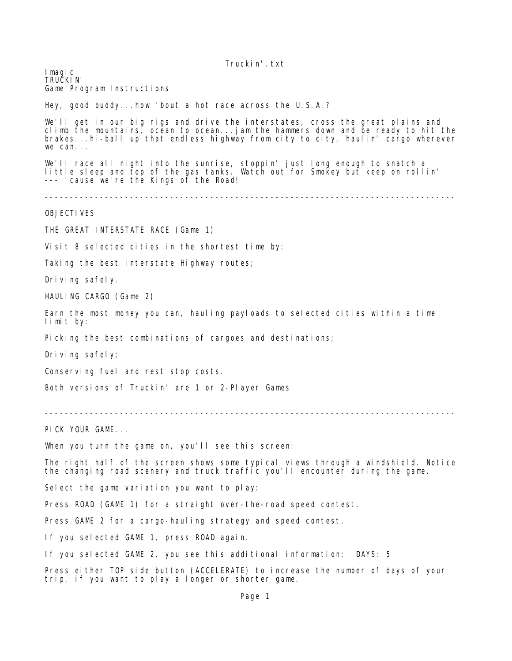Imagic TRUCKIN' Game Program Instructions

Hey, good buddy...how 'bout a hot race across the U.S.A.?

We'll get in our big rigs and drive the interstates, cross the great plains and climb the mountains, ocean to ocean...jam the hammers down and be ready to hit the brakes...hi-ball up that endless highway from city to city, haulin' cargo wherever we can...

We'll race all night into the sunrise, stoppin' just long enough to snatch a little sleep and top of the gas tanks. Watch out for Smokey but keep on rollin' --- 'cause we're the Kings of the Road!

----------------------------------------------------------------------------------

OBJECTIVES

THE GREAT INTERSTATE RACE (Game 1)

Visit 8 selected cities in the shortest time by:

Taking the best interstate Highway routes;

Driving safely.

HAULING CARGO (Game 2)

Earn the most money you can, hauling payloads to selected cities within a time limit by:

Picking the best combinations of cargoes and destinations;

Driving safely;

Conserving fuel and rest stop costs.

Both versions of Truckin' are 1 or 2-Player Games

----------------------------------------------------------------------------------

PICK YOUR GAME...

When you turn the game on, you'll see this screen:

The right half of the screen shows some typical views through a windshield. Notice the changing road scenery and truck traffic you'll encounter during the game.

Select the game variation you want to play:

Press ROAD (GAME 1) for a straight over-the-road speed contest.

Press GAME 2 for a cargo-hauling strategy and speed contest.

If you selected GAME 1, press ROAD again.

If you selected GAME 2, you see this additional information: DAYS: 5

Press either TOP side button (ACCELERATE) to increase the number of days of your trip, if you want to play a longer or shorter game.

Page 1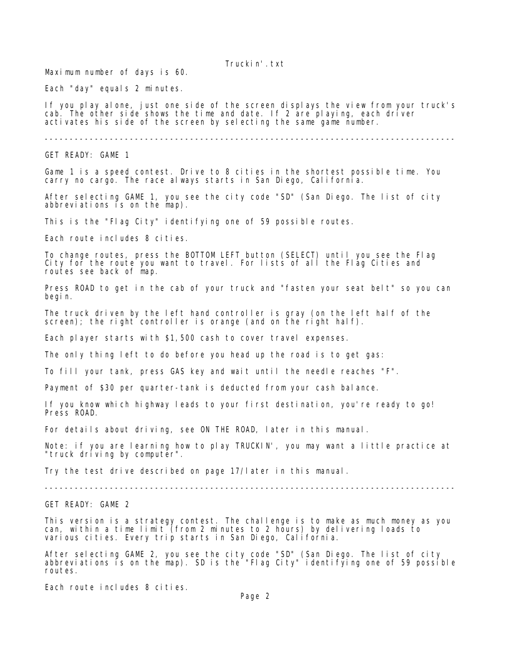Maximum number of days is 60.

Each "day" equals 2 minutes.

If you play alone, just one side of the screen displays the view from your truck's cab. The other side shows the time and date. If 2 are playing, each driver activates his side of the screen by selecting the same game number.

----------------------------------------------------------------------------------

GET READY: GAME 1

Game 1 is a speed contest. Drive to 8 cities in the shortest possible time. You carry no cargo. The race always starts in San Diego, California.

After selecting GAME 1, you see the city code "SD" (San Diego. The list of city abbreviations is on the map).

This is the "Flag City" identifying one of 59 possible routes.

Each route includes 8 cities.

To change routes, press the BOTTOM LEFT button (SELECT) until you see the Flag City for the route you want to travel. For lists of all the Flag Cities and routes see back of map.

Press ROAD to get in the cab of your truck and "fasten your seat belt" so you can begin.

The truck driven by the left hand controller is gray (on the left half of the screen); the right controller is orange (and on the right half).

Each player starts with \$1,500 cash to cover travel expenses.

The only thing left to do before you head up the road is to get gas:

To fill your tank, press GAS key and wait until the needle reaches "F".

Payment of \$30 per quarter-tank is deducted from your cash balance.

If you know which highway leads to your first destination, you're ready to go! Press ROAD.

For details about driving, see ON THE ROAD, later in this manual.

Note: if you are learning how to play TRUCKIN', you may want a little practice at "truck driving by computer".

Try the test drive described on page 17/later in this manual.

----------------------------------------------------------------------------------

GET READY: GAME 2

This version is a strategy contest. The challenge is to make as much money as you can, within a time limit (from 2 minutes to 2 hours) by delivering loads to various cities. Every trip starts in San Diego, California.

After selecting GAME 2, you see the city code "SD" (San Diego. The list of city abbreviations is on the map). SD is the "Flag City" identifying one of 59 possible routes.

Each route includes 8 cities.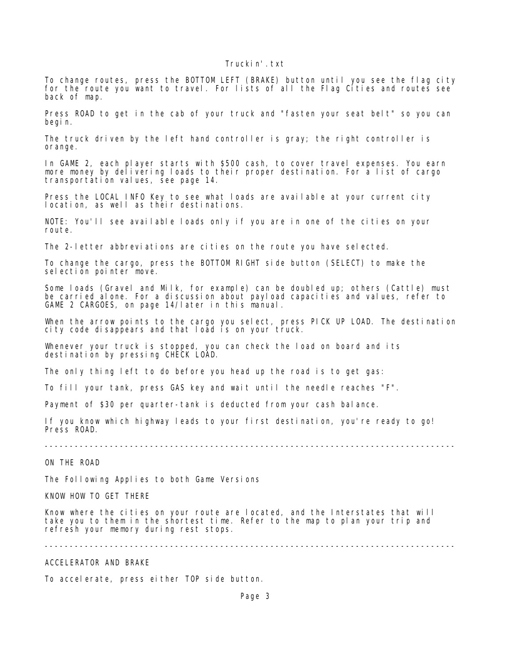To change routes, press the BOTTOM LEFT (BRAKE) button until you see the flag city for the route you want to travel. For lists of all the Flag Cities and routes see back of map.

Press ROAD to get in the cab of your truck and "fasten your seat belt" so you can begin.

The truck driven by the left hand controller is gray; the right controller is orange.

In GAME 2, each player starts with \$500 cash, to cover travel expenses. You earn more money by delivering loads to their proper destination. For a list of cargo transportation values, see page 14.

Press the LOCAL INFO Key to see what loads are available at your current city location, as well as their destinations.

NOTE: You'll see available loads only if you are in one of the cities on your route.

The 2-letter abbreviations are cities on the route you have selected.

To change the cargo, press the BOTTOM RIGHT side button (SELECT) to make the sel ection pointer move.

Some loads (Gravel and Milk, for example) can be doubled up; others (Cattle) must be carried alone. For a discussion about payload capacities and values, refer to GAME 2 CARGOES, on page 14/later in this manual.

When the arrow points to the cargo you select, press PICK UP LOAD. The destination city code disappears and that load is on your truck.

Whenever your truck is stopped, you can check the load on board and its destination by pressing CHECK LOAD.

The only thing left to do before you head up the road is to get gas:

To fill your tank, press GAS key and wait until the needle reaches "F".

Payment of \$30 per quarter-tank is deducted from your cash balance.

If you know which highway leads to your first destination, you're ready to go! Press ROAD.

----------------------------------------------------------------------------------

ON THE ROAD

The Following Applies to both Game Versions

KNOW HOW TO GET THERE

Know where the cities on your route are located, and the Interstates that will take you to them in the shortest time. Refer to the map to plan your trip and refresh your memory during rest stops.

----------------------------------------------------------------------------------

ACCELERATOR AND BRAKE

To accelerate, press either TOP side button.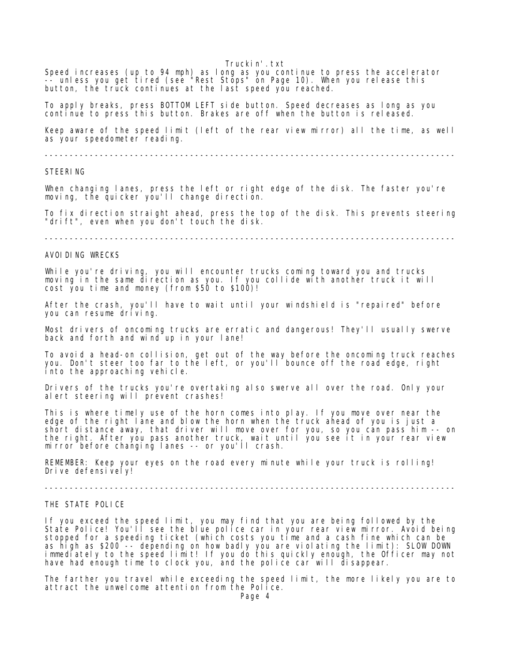Speed increases (up to 94 mph) as long as you continue to press the accelerator -- unless you get tired (see "Rest Stops" on Page 10). When you release this button, the truck continues at the last speed you reached.

To apply breaks, press BOTTOM LEFT side button. Speed decreases as long as you continue to press this button. Brakes are off when the button is released.

Keep aware of the speed limit (left of the rear view mirror) all the time, as well as your speedometer reading.

----------------------------------------------------------------------------------

## STEERING

When changing lanes, press the left or right edge of the disk. The faster you're moving, the quicker you'll change direction.

To fix direction straight ahead, press the top of the disk. This prevents steering "drift", even when you don't touch the disk.

----------------------------------------------------------------------------------

## AVOIDING WRECKS

While you're driving, you will encounter trucks coming toward you and trucks moving in the same direction as you. If you collide with another truck it will cost you time and money (from \$50 to \$100)!

After the crash, you'll have to wait until your windshield is "repaired" before you can resume driving.

Most drivers of oncoming trucks are erratic and dangerous! They'll usually swerve back and forth and wind up in your lane!

To avoid a head-on collision, get out of the way before the oncoming truck reaches you. Don't steer too far to the left, or you'll bounce off the road edge, right into the approaching vehicle.

Drivers of the trucks you're overtaking also swerve all over the road. Only your alert steering will prevent crashes!

This is where timely use of the horn comes into play. If you move over near the edge of the right lane and blow the horn when the truck ahead of you is just a short distance away, that driver will move over for you, so you can pass him -- on the right. After you pass another truck, wait until you see it in your rear view mirror before changing lanes -- or you'll crash.

REMEMBER: Keep your eyes on the road every minute while your truck is rolling! Drive defensively!

----------------------------------------------------------------------------------

#### THE STATE POLICE

If you exceed the speed limit, you may find that you are being followed by the State Police! You'll see the blue police car in your rear view mirror. Avoid being stopped for a speeding ticket (which costs you time and a cash fine which can be as high as \$200 -- depending on how badly you are violating the limit): SLOW DOWN immediately to the speed limit! If you do this quickly enough, the Officer may not have had enough time to clock you, and the police car will disappear.

The farther you travel while exceeding the speed limit, the more likely you are to attract the unwelcome attention from the Police.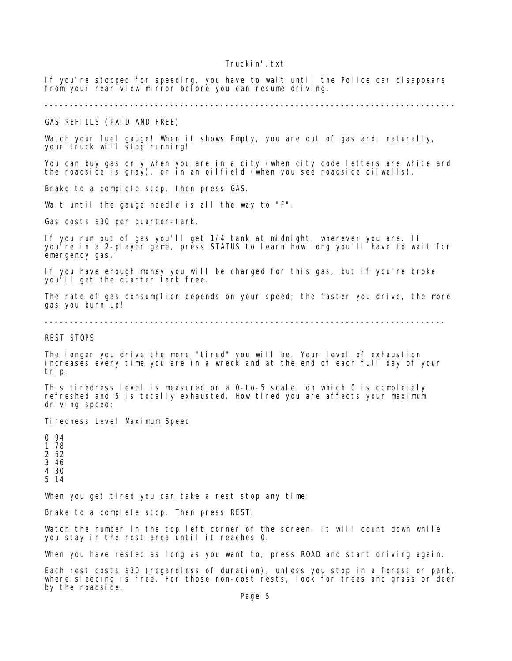If you're stopped for speeding, you have to wait until the Police car disappears from your rear-view mirror before you can resume driving.

----------------------------------------------------------------------------------

GAS REFILLS (PAID AND FREE)

Watch your fuel gauge! When it shows Empty, you are out of gas and, naturally, your truck will stop running!

You can buy gas only when you are in a city (when city code letters are white and the roadside is gray), or in an oilfield (when you see roadside oilwells).

Brake to a complete stop, then press GAS.

Wait until the gauge needle is all the way to "F".

Gas costs \$30 per quarter-tank.

If you run out of gas you'll get 1/4 tank at midnight, wherever you are. If you're in a 2-player game, press STATUS to learn how long you'll have to wait for emergency gas.

If you have enough money you will be charged for this gas, but if you're broke you'll get the quarter tank free.

The rate of gas consumption depends on your speed; the faster you drive, the more gas you burn up!

--------------------------------------------------------------------------------

REST STOPS

The longer you drive the more "tired" you will be. Your level of exhaustion increases every time you are in a wreck and at the end of each full day of your trip.

This tiredness level is measured on a 0-to-5 scale, on which 0 is completely refreshed and 5 is totally exhausted. How tired you are affects your maximum driving speed:

Tiredness Level Maximum Speed

When you get tired you can take a rest stop any time:

Brake to a complete stop. Then press REST.

Watch the number in the top left corner of the screen. It will count down while you stay in the rest area until it reaches 0.

When you have rested as long as you want to, press ROAD and start driving again.

Each rest costs \$30 (regardless of duration), unless you stop in a forest or park, where sleeping is free. For those non-cost rests, look for trees and grass or deer by the roadside.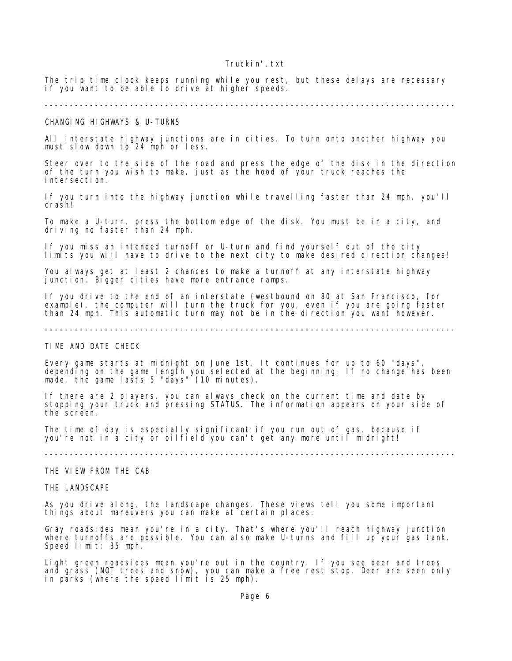The trip time clock keeps running while you rest, but these delays are necessary if you want to be able to drive at higher speeds.

#### ----------------------------------------------------------------------------------

CHANGING HIGHWAYS & U-TURNS

All interstate highway junctions are in cities. To turn onto another highway you must slow down to 24 mph or less.

Steer over to the side of the road and press the edge of the disk in the direction of the turn you wish to make, just as the hood of your truck reaches the intersection.

If you turn into the highway junction while travelling faster than 24 mph, you'll crash!

To make a U-turn, press the bottom edge of the disk. You must be in a city, and driving no faster than 24 mph.

If you miss an intended turnoff or U-turn and find yourself out of the city limits you will have to drive to the next city to make desired direction changes!

You always get at least 2 chances to make a turnoff at any interstate highway junction. Bigger cities have more entrance ramps.

If you drive to the end of an interstate (westbound on 80 at San Francisco, for example), the computer will turn the truck for you, even if you are going faster than 24 mph. This automatic turn may not be in the direction you want however.

----------------------------------------------------------------------------------

TIME AND DATE CHECK

Every game starts at midnight on June 1st. It continues for up to 60 "days", depending on the game length you selected at the beginning. If no change has been made, the game lasts 5 "days" (10 minutes).

If there are 2 players, you can always check on the current time and date by stopping your truck and pressing STATUS. The information appears on your side of the screen.

The time of day is especially significant if you run out of gas, because if you're not in a city or oilfield you can't get any more until midnight!

----------------------------------------------------------------------------------

THE VIEW FROM THE CAB

THE LANDSCAPE

As you drive along, the landscape changes. These views tell you some important things about maneuvers you can make at certain places.

Gray roadsides mean you're in a city. That's where you'll reach highway junction where turnoffs are possible. You can also make U-turns and fill up your gas tank. Speed limit: 35 mph.

Light green roadsides mean you're out in the country. If you see deer and trees and grass (NOT trees and snow), you can make a free rest stop. Deer are seen only in parks (where the speed limit is 25 mph).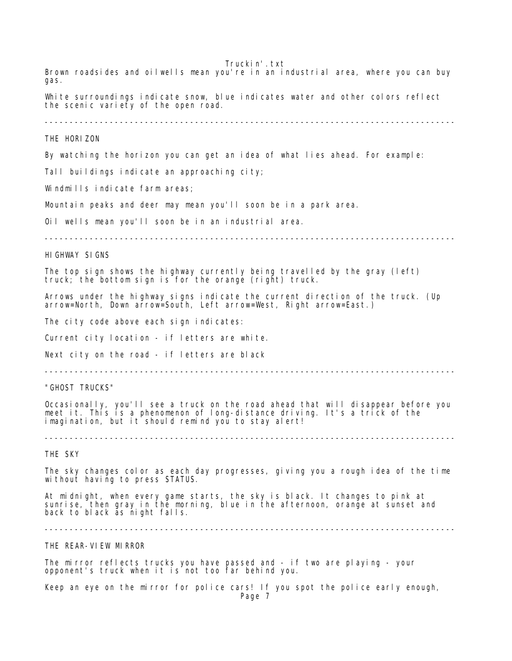Truckin'.txt Brown roadsides and oilwells mean you're in an industrial area, where you can buy gas. White surroundings indicate snow, blue indicates water and other colors reflect the scenic variety of the open road. ---------------------------------------------------------------------------------- THE HORIZON By watching the horizon you can get an idea of what lies ahead. For example: Tall buildings indicate an approaching city; Windmills indicate farm areas; Mountain peaks and deer may mean you'll soon be in a park area. Oil wells mean you'll soon be in an industrial area. ---------------------------------------------------------------------------------- HIGHWAY SIGNS The top sign shows the highway currently being travelled by the gray (left) truck; the bottom sign is for the orange (right) truck. Arrows under the highway signs indicate the current direction of the truck. (Up arrow=North, Down arrow=South, Left arrow=West, Right arrow=East.) The city code above each sign indicates: Current city location - if letters are white. Next city on the road - if letters are black ---------------------------------------------------------------------------------- "GHOST TRUCKS" Occasionally, you'll see a truck on the road ahead that will disappear before you meet it. This is a phenomenon of long-distance driving. It's a trick of the imagination, but it should remind you to stay alert! ---------------------------------------------------------------------------------- THE SKY The sky changes color as each day progresses, giving you a rough idea of the time without having to press STATUS. At midnight, when every game starts, the sky is black. It changes to pink at sunrise, then gray in the morning, blue in the afternoon, orange at sunset and back to black as night falls. ---------------------------------------------------------------------------------- THE REAR-VIEW MIRROR The mirror reflects trucks you have passed and - if two are playing - your opponent's truck when it is not too far behind you.

Keep an eye on the mirror for police cars! If you spot the police early enough,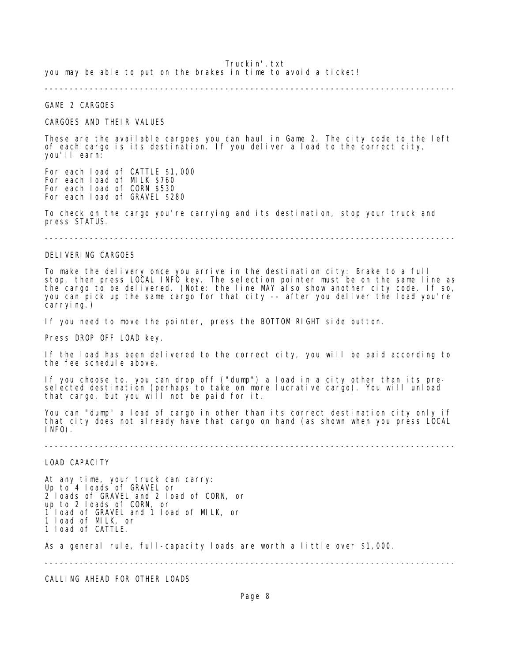Truckin'.txt you may be able to put on the brakes in time to avoid a ticket!

----------------------------------------------------------------------------------

## GAME 2 CARGOES

### CARGOES AND THEIR VALUES

These are the available cargoes you can haul in Game 2. The city code to the left of each cargo is its destination. If you deliver a load to the correct city, you'll earn:

For each load of CATTLE \$1,000 For each load of MILK \$760 For each load of CORN \$530 For each load of GRAVEL \$280

To check on the cargo you're carrying and its destination, stop your truck and press STATUS.

----------------------------------------------------------------------------------

#### DELIVERING CARGOES

To make the delivery once you arrive in the destination city: Brake to a full stop, then press LOCAL INFO key. The selection pointer must be on the same line as the cargo to be delivered. (Note: the line MAY also show another city code. If so, you can pick up the same cargo for that city -- after you deliver the load you're carrying.)

If you need to move the pointer, press the BOTTOM RIGHT side button.

Press DROP OFF LOAD key.

If the load has been delivered to the correct city, you will be paid according to the fee schedule above.

If you choose to, you can drop off ("dump") a load in a city other than its preselected destination (perhaps to take on more lucrative cargo). You will unload that cargo, but you will not be paid for it.

You can "dump" a load of cargo in other than its correct destination city only if that city does not already have that cargo on hand (as shown when you press LOCAL INFO).

----------------------------------------------------------------------------------

LOAD CAPACITY

At any time, your truck can carry: Up to 4 loads of GRAVEL or 2 loads of GRAVEL and 2 load of CORN, or up to 2 loads of CORN, or 1 load of GRAVEL and 1 load of MILK, or 1 load of MILK, or 1 load of CATTLE.

As a general rule, full-capacity loads are worth a little over \$1,000.

----------------------------------------------------------------------------------

CALLING AHEAD FOR OTHER LOADS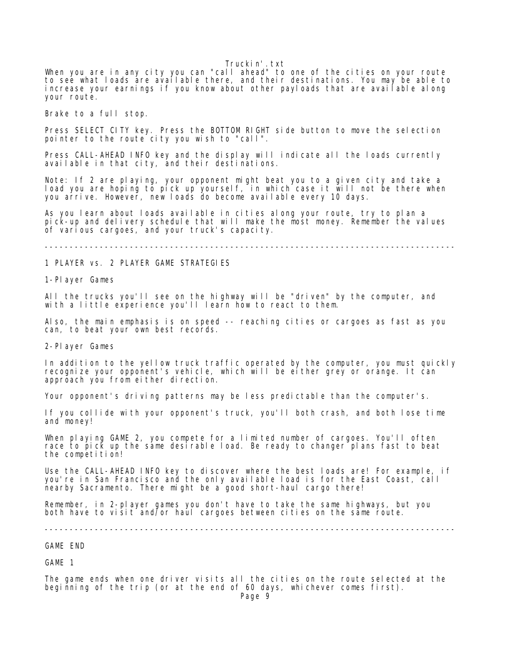When you are in any city you can "call ahead" to one of the cities on your route to see what loads are available there, and their destinations. You may be able to increase your earnings if you know about other payloads that are available along your route.

Brake to a full stop.

Press SELECT CITY key. Press the BOTTOM RIGHT side button to move the selection pointer to the route city you wish to "call".

Press CALL-AHEAD INFO key and the display will indicate all the loads currently available in that city, and their destinations.

Note: If 2 are playing, your opponent might beat you to a given city and take a load you are hoping to pick up yourself, in which case it will not be there when you arrive. However, new loads do become available every 10 days.

As you learn about loads available in cities along your route, try to plan a pick-up and delivery schedule that will make the most money. Remember the values of various cargoes, and your truck's capacity.

----------------------------------------------------------------------------------

# 1 PLAYER vs. 2 PLAYER GAME STRATEGIES

1-Player Games

All the trucks you'll see on the highway will be "driven" by the computer, and with a little experience you'll learn how to react to them.

Also, the main emphasis is on speed -- reaching cities or cargoes as fast as you can, to beat your own best records.

2-Player Games

In addition to the yellow truck traffic operated by the computer, you must quickly recognize your opponent's vehicle, which will be either grey or orange. It can approach you from either direction.

Your opponent's driving patterns may be less predictable than the computer's.

If you collide with your opponent's truck, you'll both crash, and both lose time and money!

When playing GAME 2, you compete for a limited number of cargoes. You'll often race to pick up the same desirable load. Be ready to changer plans fast to beat the competition!

Use the CALL-AHEAD INFO key to discover where the best loads are! For example, if you're in San Francisco and the only available load is for the East Coast, call nearby Sacramento. There might be a good short-haul cargo there!

Remember, in 2-player games you don't have to take the same highways, but you both have to visit and/or haul cargoes between cities on the same route.

----------------------------------------------------------------------------------

GAME END

GAME 1

The game ends when one driver visits all the cities on the route selected at the beginning of the trip (or at the end of 60 days, whichever comes first).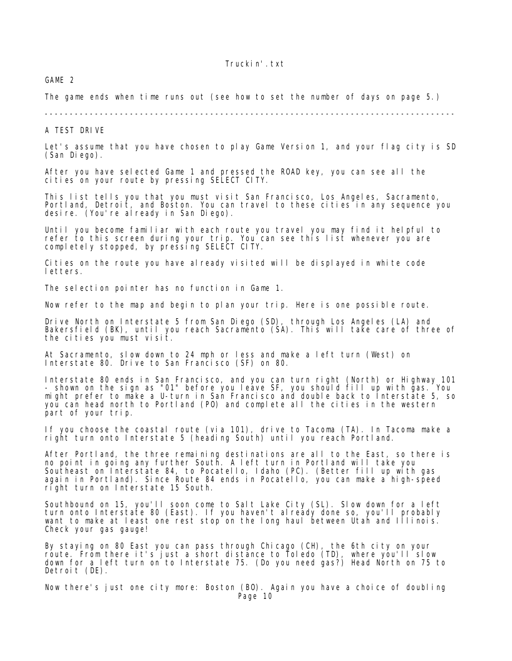GAME 2

The game ends when time runs out (see how to set the number of days on page 5.)

----------------------------------------------------------------------------------

# A TEST DRIVE

Let's assume that you have chosen to play Game Version 1, and your flag city is SD (San Diego).

After you have selected Game 1 and pressed the ROAD key, you can see all the cities on your route by pressing SELECT CITY.

This list tells you that you must visit San Francisco, Los Angeles, Sacramento, Portland, Detroit, and Boston. You can travel to these cities in any sequence you desire. (You're already in San Diego).

Until you become familiar with each route you travel you may find it helpful to refer to this screen during your trip. You can see this list whenever you are completely stopped, by pressing SELECT CITY.

Cities on the route you have already visited will be displayed in white code letters.

The selection pointer has no function in Game 1.

Now refer to the map and begin to plan your trip. Here is one possible route.

Drive North on Interstate 5 from San Diego (SD), through Los Angeles (LA) and Bakersfield (BK), until you reach Sacramento (SA). This will take care of three of the cities you must visit.

At Sacramento, slow down to 24 mph or less and make a left turn (West) on Interstate 80. Drive to San Francisco (SF) on 80.

Interstate 80 ends in San Francisco, and you can turn right (North) or Highway 101 - shown on the sign as "01" before you leave SF, you should fill up with gas. You might prefer to make a U-turn in San Francisco and double back to Interstate 5, so you can head north to Portland (PO) and complete all the cities in the western part of your trip.

If you choose the coastal route (via 101), drive to Tacoma (TA). In Tacoma make a right turn onto Interstate 5 (heading South) until you reach Portland.

After Portland, the three remaining destinations are all to the East, so there is no point in going any further South. A left turn in Portland will take you Southeast on Interstate 84, to Pocatello, Idaho (PC). (Better fill up with gas again in Portland). Since Route 84 ends in Pocatello, you can make a high-speed right turn on Interstate 15 South.

Southbound on 15, you'll soon come to Salt Lake City (SL). Slow down for a left turn onto Interstate 80 (East). If you haven't already done so, you'll probably want to make at least one rest stop on the long haul between Utah and Illinois. Check your gas gauge!

By staying on 80 East you can pass through Chicago (CH), the 6th city on your route. From there it's just a short distance to Toledo (TD), where you'll slow down for a left turn on to Interstate 75. (Do you need gas?) Head North on 75 to Detroit (DE).

Now there's just one city more: Boston (BO). Again you have a choice of doubling Page 10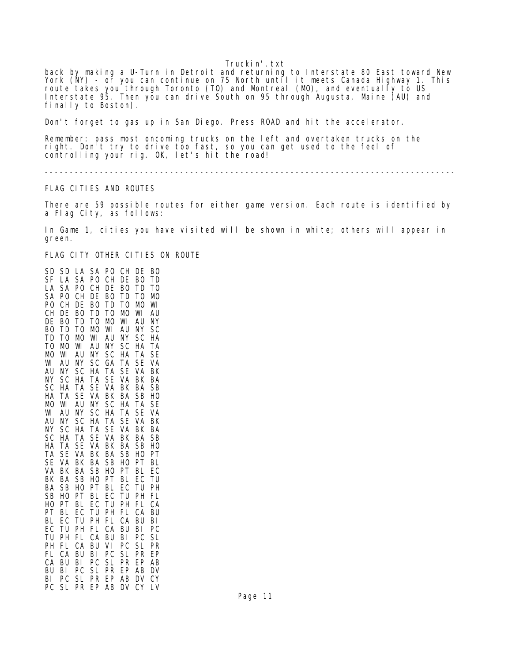back by making a U-Turn in Detroit and returning to Interstate 80 East toward New York (NY) - or you can continue on 75 North until it meets Canada Highway 1. This route takes you through Toronto (TO) and Montreal (MO), and eventually to US Interstate 95. Then you can drive South on 95 through Augusta, Maine (AU) and finally to Boston).

Don't forget to gas up in San Diego. Press ROAD and hit the accelerator.

Remember: pass most oncoming trucks on the left and overtaken trucks on the right. Don't try to drive too fast, so you can get used to the feel of controlling your rig. OK, let's hit the road!

----------------------------------------------------------------------------------

## FLAG CITIES AND ROUTES

There are 59 possible routes for either game version. Each route is identified by a Flag City, as follows:

In Game 1, cities you have visited will be shown in white; others will appear in green.

FLAG CITY OTHER CITIES ON ROUTE

SD SD LA SA PO CH DE BO SF LA SA PO CH DE BO TD LA SA PO CH DE BO TD TO SA PO CH DE BO TD TO MO PO CH DE BO TD TO MO WI CH DE BO TD TO MO WI AU<br>DE BO TD TO MO WI AU NY TO MO WI BO TD TO MO WI AU NY SC TD TO MO WI AU NY SC HA TO MO WI AU NY SC HA TA MO WI AU NY SC HA TA SE WI AU NY SC GA TA SE VA AU NY SC HA TA SE VA BK NY SC HA TA SE VA BK BA SC HA TA SE VA BK BA SB HA TA SE VA BK BA SB HO MO WI AU NY SC HA TA SE WI AU NY SC HA TA SE VA AU NY SC HA TA SE VA BK NY SC HA TA SE VA BK BA SC HA TA SE VA BK BA SB HA TA SE VA BK BA SB HO TA SE VA BK BA SB HO PT SE VA BK BA SB HO PT BL VA BK BA SB HO PT BL EC BK BA SB HO PT BL EC TU BA SB HO PT BL EC TU PH SB HO PT BL EC TU PH FL HO PT BL EC TU PH FL CA PT BL EC TU PH FL CA BU BL EC TU PH FL CA BU BI EC TU PH FL CA BU BI PC TU PH FL CA BU BI PC SL PH FL CA BU VI PC SL PR FL CA BU BI PC SL CA BU BI PC SL PR EP AB BU BI PC SL PR EP AB DV BI PC SL PR EP AB DV CY PC SL PR EP AB DV CY LV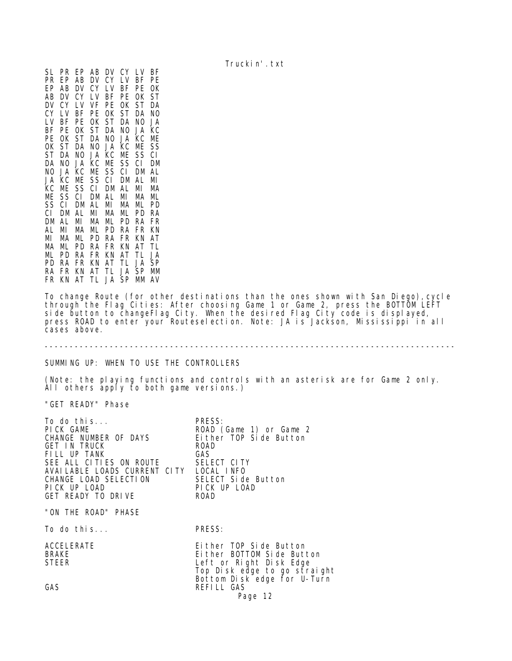SL PR EP AB DV CY LV BF PR EP AB DV CY LV BF PE EP AB DV CY LV BF PE OK AB DV CY LV BF PE OK ST<br>DV CY LV VF PE OK ST DA DV CY LV VF PE OK CY LV BF PE OK ST DA NO LV BF PE OK ST DA NO JA BF PE OK ST DA NO JA KC PE OK ST DA NO JA KC ME OK ST DA NO JA KC ME SS ST DA NO JA KC ME SS CI DA NO JA KC ME SS CI DM NO JA KC ME SS CI DM AL JA KC ME SS CI DM AL MI KC ME SS CI DM AL MI MA ME SS CI DM AL MI MA ML SS CI DM AL MI MA ML PD CI DM AL MI MA ML PD RA DM AL MI MA ML PD RA FR AL MI MA ML PD RA FR KN MI MA ML PD RA FR KN AT MA ML PD RA FR KN AT TL ML PD RA FR KN AT TL JA PD RA FR KN AT TL JA SP RA FR KN AT TL JA SP MM FR KN AT TL JA SP MM AV

To change Route (for other destinations than the ones shown with San Diego), cycle through the Flag Cities: After choosing Game 1 or Game 2, press the BOTTOM LEFT side button to changeFlag City. When the desired Flag City code is displayed, press ROAD to enter your Routeselection. Note: JA is Jackson, Mississippi in all cases above.

# ----------------------------------------------------------------------------------

## SUMMING UP: WHEN TO USE THE CONTROLLERS

(Note: the playing functions and controls with an asterisk are for Game 2 only. All others apply to both game versions.)

"GET READY" Phase

| To do this<br>PICK GAME<br>CHANGE NUMBER OF DAYS<br><b>GET IN TRUCK</b><br>FILL UP TANK<br>SEE ALL CITIES ON ROUTE<br>AVAILABLE LOADS CURRENT CITY LOCAL INFO<br>CHANGE LOAD SELECTION<br>PICK UP LOAD<br>GET READY TO DRIVE | PRESS:<br>ROAD (Game 1) or Game 2<br>Either TOP Side Button<br><b>ROAD</b><br>GAS.<br>SELECT CITY<br>SELECT Side Button<br>PICK UP LOAD<br><b>ROAD</b>      |
|------------------------------------------------------------------------------------------------------------------------------------------------------------------------------------------------------------------------------|-------------------------------------------------------------------------------------------------------------------------------------------------------------|
| "ON THE ROAD" PHASE                                                                                                                                                                                                          |                                                                                                                                                             |
| To do this                                                                                                                                                                                                                   | PRESS:                                                                                                                                                      |
| ACCELERATE<br><b>BRAKE</b><br><b>STEER</b><br>GAS                                                                                                                                                                            | Either TOP Side Button<br>Either BOTTOM Side Button<br>Left or Right Disk Edge<br>Top Disk edge to go straight<br>Bottom Disk edge for U-Turn<br>REFILL GAS |
|                                                                                                                                                                                                                              | Page 12                                                                                                                                                     |